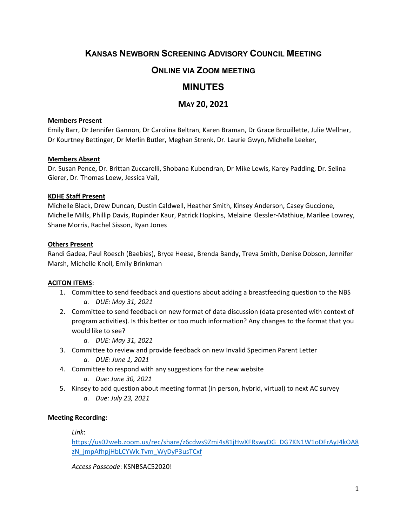# **KANSAS NEWBORN SCREENING ADVISORY COUNCIL MEETING**

# **ONLINE VIA ZOOM MEETING**

# **MINUTES**

# **MAY 20, 2021**

### **Members Present**

Emily Barr, Dr Jennifer Gannon, Dr Carolina Beltran, Karen Braman, Dr Grace Brouillette, Julie Wellner, Dr Kourtney Bettinger, Dr Merlin Butler, Meghan Strenk, Dr. Laurie Gwyn, Michelle Leeker,

## **Members Absent**

Dr. Susan Pence, Dr. Brittan Zuccarelli, Shobana Kubendran, Dr Mike Lewis, Karey Padding, Dr. Selina Gierer, Dr. Thomas Loew, Jessica Vail,

## **KDHE Staff Present**

Michelle Black, Drew Duncan, Dustin Caldwell, Heather Smith, Kinsey Anderson, Casey Guccione, Michelle Mills, Phillip Davis, Rupinder Kaur, Patrick Hopkins, Melaine Klessler-Mathiue, Marilee Lowrey, Shane Morris, Rachel Sisson, Ryan Jones

## **Others Present**

Randi Gadea, Paul Roesch (Baebies), Bryce Heese, Brenda Bandy, Treva Smith, Denise Dobson, Jennifer Marsh, Michelle Knoll, Emily Brinkman

# **ACITON ITEMS**:

- 1. Committee to send feedback and questions about adding a breastfeeding question to the NBS *a. DUE: May 31, 2021*
- 2. Committee to send feedback on new format of data discussion (data presented with context of program activities). Is this better or too much information? Any changes to the format that you would like to see?
	- *a. DUE: May 31, 2021*
- 3. Committee to review and provide feedback on new Invalid Specimen Parent Letter
	- *a. DUE: June 1, 2021*
- 4. Committee to respond with any suggestions for the new website
	- *a. Due: June 30, 2021*
- 5. Kinsey to add question about meeting format (in person, hybrid, virtual) to next AC survey *a. Due: July 23, 2021*

# **Meeting Recording:**

*Link*:

[https://us02web.zoom.us/rec/share/z6cdws9Zmi4s81jHwXFRswyDG\\_DG7KN1W1oDFrAyJ4kOA8](https://us02web.zoom.us/rec/share/z6cdws9Zmi4s81jHwXFRswyDG_DG7KN1W1oDFrAyJ4kOA8zN_jmpAfhpjHbLCYWk.Tvm_WyDyP3usTCxf) [zN\\_jmpAfhpjHbLCYWk.Tvm\\_WyDyP3usTCxf](https://us02web.zoom.us/rec/share/z6cdws9Zmi4s81jHwXFRswyDG_DG7KN1W1oDFrAyJ4kOA8zN_jmpAfhpjHbLCYWk.Tvm_WyDyP3usTCxf)

*Access Passcode*: KSNBSAC52020!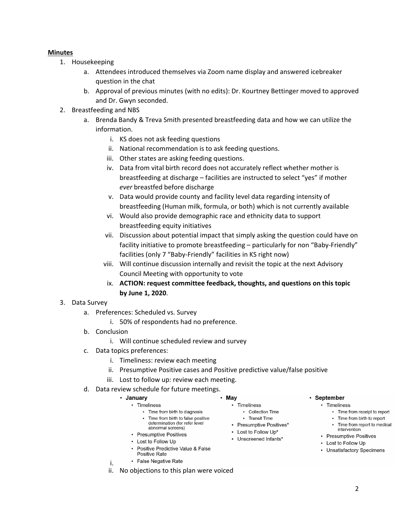### **Minutes**

- 1. Housekeeping
	- a. Attendees introduced themselves via Zoom name display and answered icebreaker question in the chat
	- b. Approval of previous minutes (with no edits): Dr. Kourtney Bettinger moved to approved and Dr. Gwyn seconded.
- 2. Breastfeeding and NBS
	- a. Brenda Bandy & Treva Smith presented breastfeeding data and how we can utilize the information.
		- i. KS does not ask feeding questions
		- ii. National recommendation is to ask feeding questions.
		- iii. Other states are asking feeding questions.
		- iv. Data from vital birth record does not accurately reflect whether mother is breastfeeding at discharge – facilities are instructed to select "yes" if mother *ever* breastfed before discharge
		- v. Data would provide county and facility level data regarding intensity of breastfeeding (Human milk, formula, or both) which is not currently available
		- vi. Would also provide demographic race and ethnicity data to support breastfeeding equity initiatives
		- vii. Discussion about potential impact that simply asking the question could have on facility initiative to promote breastfeeding – particularly for non "Baby-Friendly" facilities (only 7 "Baby-Friendly" facilities in KS right now)
		- viii. Will continue discussion internally and revisit the topic at the next Advisory Council Meeting with opportunity to vote
		- ix. **ACTION: request committee feedback, thoughts, and questions on this topic by June 1, 2020**.

### 3. Data Survey

- a. Preferences: Scheduled vs. Survey
	- i. 50% of respondents had no preference.
- b. Conclusion

i.

- i. Will continue scheduled review and survey
- c. Data topics preferences:
	- i. Timeliness: review each meeting
	- ii. Presumptive Positive cases and Positive predictive value/false positive

 $\cdot$  May

- iii. Lost to follow up: review each meeting.
- d. Data review schedule for future meetings.

#### • January • Timeliness

- Time from birth to diagnosis • Time from birth to false positive determination (for refer level abnormal screens)
- Presumptive Positives
- Lost to Follow Up
- Positive Predictive Value & False Positive Rate
- False Negative Rate
- ii. No objections to this plan were voiced

### • September

- Timeliness
	- Time from receipt to report
	- Time from birth to report Time from report to medical
	- intervention
	- Presumptive Positives
- Lost to Follow Up
- Unsatisfactory Specimens
- Timeliness • Collection Time
	- Transit Time
- Presumptive Positives\*
- Lost to Follow Up\*
- Unscreened Infants\*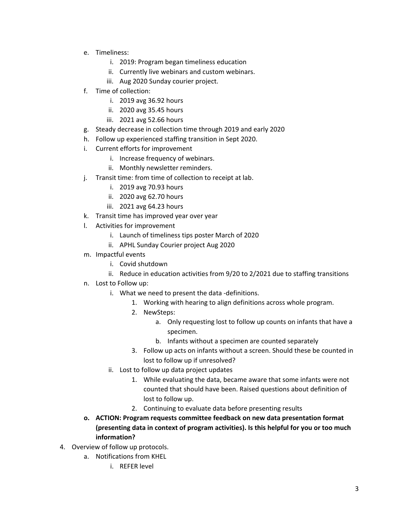- e. Timeliness:
	- i. 2019: Program began timeliness education
	- ii. Currently live webinars and custom webinars.
	- iii. Aug 2020 Sunday courier project.
- f. Time of collection:
	- i. 2019 avg 36.92 hours
	- ii. 2020 avg 35.45 hours
	- iii. 2021 avg 52.66 hours
- g. Steady decrease in collection time through 2019 and early 2020
- h. Follow up experienced staffing transition in Sept 2020.
- i. Current efforts for improvement
	- i. Increase frequency of webinars.
	- ii. Monthly newsletter reminders.
- j. Transit time: from time of collection to receipt at lab.
	- i. 2019 avg 70.93 hours
	- ii. 2020 avg 62.70 hours
	- iii. 2021 avg 64.23 hours
- k. Transit time has improved year over year
- l. Activities for improvement
	- i. Launch of timeliness tips poster March of 2020
	- ii. APHL Sunday Courier project Aug 2020
- m. Impactful events
	- i. Covid shutdown
	- ii. Reduce in education activities from 9/20 to 2/2021 due to staffing transitions
- n. Lost to Follow up:
	- i. What we need to present the data -definitions.
		- 1. Working with hearing to align definitions across whole program.
		- 2. NewSteps:
			- a. Only requesting lost to follow up counts on infants that have a specimen.
			- b. Infants without a specimen are counted separately
		- 3. Follow up acts on infants without a screen. Should these be counted in lost to follow up if unresolved?
	- ii. Lost to follow up data project updates
		- 1. While evaluating the data, became aware that some infants were not counted that should have been. Raised questions about definition of lost to follow up.
		- 2. Continuing to evaluate data before presenting results
- **o. ACTION: Program requests committee feedback on new data presentation format (presenting data in context of program activities). Is this helpful for you or too much information?**
- 4. Overview of follow up protocols.
	- a. Notifications from KHEL
		- i. REFER level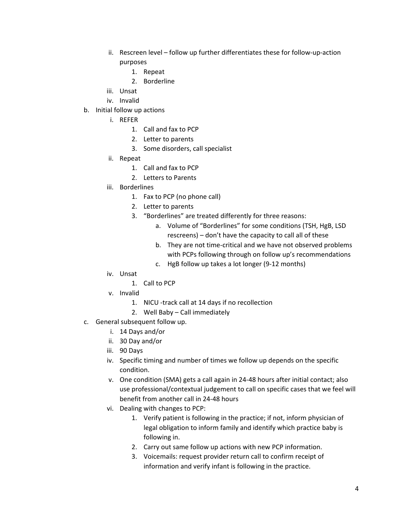- ii. Rescreen level follow up further differentiates these for follow-up-action purposes
	- 1. Repeat
	- 2. Borderline
- iii. Unsat
- iv. Invalid
- b. Initial follow up actions
	- i. REFER
		- 1. Call and fax to PCP
		- 2. Letter to parents
		- 3. Some disorders, call specialist
	- ii. Repeat
		- 1. Call and fax to PCP
		- 2. Letters to Parents
	- iii. Borderlines
		- 1. Fax to PCP (no phone call)
		- 2. Letter to parents
		- 3. "Borderlines" are treated differently for three reasons:
			- a. Volume of "Borderlines" for some conditions (TSH, HgB, LSD rescreens) – don't have the capacity to call all of these
			- b. They are not time-critical and we have not observed problems with PCPs following through on follow up's recommendations
			- c. HgB follow up takes a lot longer (9-12 months)
	- iv. Unsat
		- 1. Call to PCP
	- v. Invalid
		- 1. NICU -track call at 14 days if no recollection
		- 2. Well Baby Call immediately
- c. General subsequent follow up.
	- i. 14 Days and/or
	- ii. 30 Day and/or
	- iii. 90 Days
	- iv. Specific timing and number of times we follow up depends on the specific condition.
	- v. One condition (SMA) gets a call again in 24-48 hours after initial contact; also use professional/contextual judgement to call on specific cases that we feel will benefit from another call in 24-48 hours
	- vi. Dealing with changes to PCP:
		- 1. Verify patient is following in the practice; if not, inform physician of legal obligation to inform family and identify which practice baby is following in.
		- 2. Carry out same follow up actions with new PCP information.
		- 3. Voicemails: request provider return call to confirm receipt of information and verify infant is following in the practice.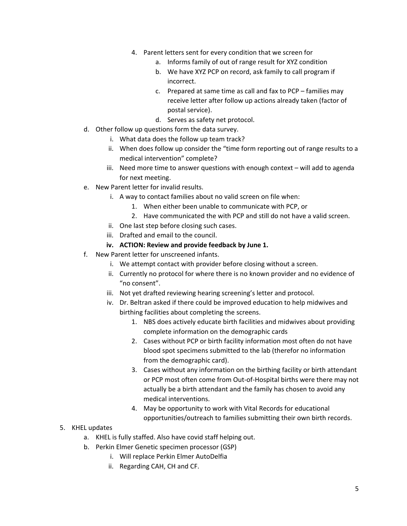- 4. Parent letters sent for every condition that we screen for
	- a. Informs family of out of range result for XYZ condition
	- b. We have XYZ PCP on record, ask family to call program if incorrect.
	- c. Prepared at same time as call and fax to PCP families may receive letter after follow up actions already taken (factor of postal service).
	- d. Serves as safety net protocol.
- d. Other follow up questions form the data survey.
	- i. What data does the follow up team track?
	- ii. When does follow up consider the "time form reporting out of range results to a medical intervention" complete?
	- iii. Need more time to answer questions with enough context will add to agenda for next meeting.
- e. New Parent letter for invalid results.
	- i. A way to contact families about no valid screen on file when:
		- 1. When either been unable to communicate with PCP, or
		- 2. Have communicated the with PCP and still do not have a valid screen.
	- ii. One last step before closing such cases.
	- iii. Drafted and email to the council.
	- **iv. ACTION: Review and provide feedback by June 1.**
- f. New Parent letter for unscreened infants.
	- i. We attempt contact with provider before closing without a screen.
	- ii. Currently no protocol for where there is no known provider and no evidence of "no consent".
	- iii. Not yet drafted reviewing hearing screening's letter and protocol.
	- iv. Dr. Beltran asked if there could be improved education to help midwives and birthing facilities about completing the screens.
		- 1. NBS does actively educate birth facilities and midwives about providing complete information on the demographic cards
		- 2. Cases without PCP or birth facility information most often do not have blood spot specimens submitted to the lab (therefor no information from the demographic card).
		- 3. Cases without any information on the birthing facility or birth attendant or PCP most often come from Out-of-Hospital births were there may not actually be a birth attendant and the family has chosen to avoid any medical interventions.
		- 4. May be opportunity to work with Vital Records for educational opportunities/outreach to families submitting their own birth records.
- 5. KHEL updates
	- a. KHEL is fully staffed. Also have covid staff helping out.
	- b. Perkin Elmer Genetic specimen processor (GSP)
		- i. Will replace Perkin Elmer AutoDelfia
		- ii. Regarding CAH, CH and CF.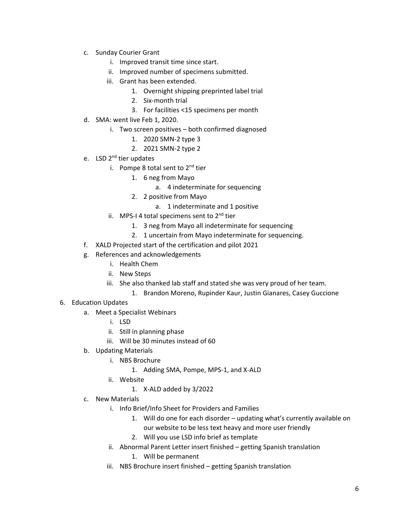- c. Sunday Courier Grant
	- i. Improved transit time since start.
	- ii. Improved number of specimens submitted.
	- iii. Grant has been extended.
		- 1. Overnight shipping preprinted label trial
		- 2. Six-month trial
		- 3. For facilities <15 specimens per month
- d. SMA: went live Feb 1, 2020.
	- i. Two screen positives both confirmed diagnosed
		- 1. 2020 SMN-2 type 3
		- 2. 2021 SMN-2 type 2
- e. LSD 2<sup>nd</sup> tier updates
	- i. Pompe 8 total sent to  $2^{nd}$  tier
		- 1. 6 neg from Mayo
			- a. 4 indeterminate for sequencing
		- 2. 2 positive from Mayo
			- a. 1 indeterminate and 1 positive
	- ii. MPS-I 4 total specimens sent to  $2<sup>nd</sup>$  tier
		- 1. 3 neg from Mayo all indeterminate for sequencing
		- 2. 1 uncertain from Mayo indeterminate for sequencing.
- f. XALD Projected start of the certification and pilot 2021
- g. References and acknowledgements
	- i. Health Chem
	- ii. New Steps
	- iii. She also thanked lab staff and stated she was very proud of her team.
		- 1. Brandon Moreno, Rupinder Kaur, Justin Gianares, Casey Guccione
- 6. Education Updates
	- a. Meet a Specialist Webinars
		- i. LSD
		- ii. Still in planning phase
		- iii. Will be 30 minutes instead of 60
	- b. Updating Materials
		- i. NBS Brochure
			- 1. Adding SMA, Pompe, MPS-1, and X-ALD
		- ii. Website
			- 1. X-ALD added by 3/2022
	- c. New Materials
		- i. Info Brief/Info Sheet for Providers and Families
			- 1. Will do one for each disorder updating what's currently available on our website to be less text heavy and more user friendly
			- 2. Will you use LSD info brief as template
		- ii. Abnormal Parent Letter insert finished getting Spanish translation
			- 1. Will be permanent
		- iii. NBS Brochure insert finished getting Spanish translation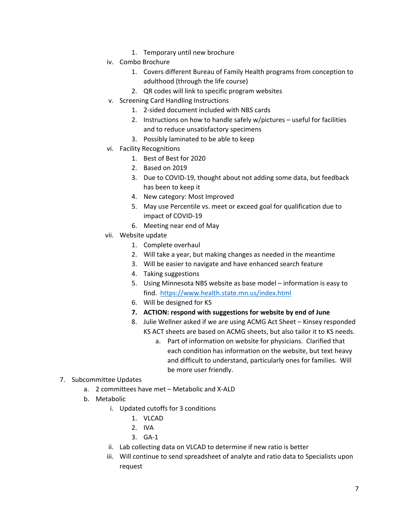- 1. Temporary until new brochure
- iv. Combo Brochure
	- 1. Covers different Bureau of Family Health programs from conception to adulthood (through the life course)
	- 2. QR codes will link to specific program websites
- v. Screening Card Handling Instructions
	- 1. 2-sided document included with NBS cards
	- 2. Instructions on how to handle safely w/pictures useful for facilities and to reduce unsatisfactory specimens
	- 3. Possibly laminated to be able to keep
- vi. Facility Recognitions
	- 1. Best of Best for 2020
	- 2. Based on 2019
	- 3. Due to COVID-19, thought about not adding some data, but feedback has been to keep it
	- 4. New category: Most Improved
	- 5. May use Percentile vs. meet or exceed goal for qualification due to impact of COVID-19
	- 6. Meeting near end of May
- vii. Website update
	- 1. Complete overhaul
	- 2. Will take a year, but making changes as needed in the meantime
	- 3. Will be easier to navigate and have enhanced search feature
	- 4. Taking suggestions
	- 5. Using Minnesota NBS website as base model information is easy to find. <https://www.health.state.mn.us/index.html>
	- 6. Will be designed for KS
	- **7. ACTION: respond with suggestions for website by end of June**
	- 8. Julie Wellner asked if we are using ACMG Act Sheet Kinsey responded KS ACT sheets are based on ACMG sheets, but also tailor it to KS needs.
		- a. Part of information on website for physicians. Clarified that each condition has information on the website, but text heavy and difficult to understand, particularly ones for families. Will be more user friendly.

### 7. Subcommittee Updates

- a. 2 committees have met Metabolic and X-ALD
- b. Metabolic
	- i. Updated cutoffs for 3 conditions
		- 1. VLCAD
		- 2. IVA
		- 3. GA-1
	- ii. Lab collecting data on VLCAD to determine if new ratio is better
	- iii. Will continue to send spreadsheet of analyte and ratio data to Specialists upon request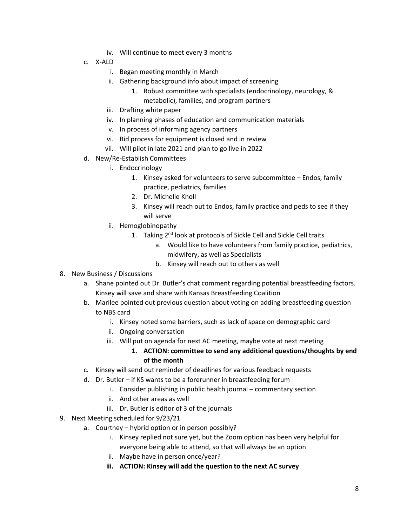- iv. Will continue to meet every 3 months
- c. X-ALD
	- i. Began meeting monthly in March
	- ii. Gathering background info about impact of screening
		- 1. Robust committee with specialists (endocrinology, neurology, & metabolic), families, and program partners
	- iii. Drafting white paper
	- iv. In planning phases of education and communication materials
	- v. In process of informing agency partners
	- vi. Bid process for equipment is closed and in review
	- vii. Will pilot in late 2021 and plan to go live in 2022
- d. New/Re-Establish Committees
	- i. Endocrinology
		- 1. Kinsey asked for volunteers to serve subcommittee Endos, family practice, pediatrics, families
		- 2. Dr. Michelle Knoll
		- 3. Kinsey will reach out to Endos, family practice and peds to see if they will serve
	- ii. Hemoglobinopathy
		- 1. Taking 2<sup>nd</sup> look at protocols of Sickle Cell and Sickle Cell traits
			- a. Would like to have volunteers from family practice, pediatrics, midwifery, as well as Specialists
			- b. Kinsey will reach out to others as well
- 8. New Business / Discussions
	- a. Shane pointed out Dr. Butler's chat comment regarding potential breastfeeding factors. Kinsey will save and share with Kansas Breastfeeding Coalition
	- b. Marilee pointed out previous question about voting on adding breastfeeding question to NBS card
		- i. Kinsey noted some barriers, such as lack of space on demographic card
		- ii. Ongoing conversation
		- iii. Will put on agenda for next AC meeting, maybe vote at next meeting
			- **1. ACTION: committee to send any additional questions/thoughts by end of the month**
	- c. Kinsey will send out reminder of deadlines for various feedback requests
	- d. Dr. Butler if KS wants to be a forerunner in breastfeeding forum
		- i. Consider publishing in public health journal commentary section
		- ii. And other areas as well
		- iii. Dr. Butler is editor of 3 of the journals
- 9. Next Meeting scheduled for 9/23/21
	- a. Courtney hybrid option or in person possibly?
		- i. Kinsey replied not sure yet, but the Zoom option has been very helpful for everyone being able to attend, so that will always be an option
		- ii. Maybe have in person once/year?
		- **iii. ACTION: Kinsey will add the question to the next AC survey**